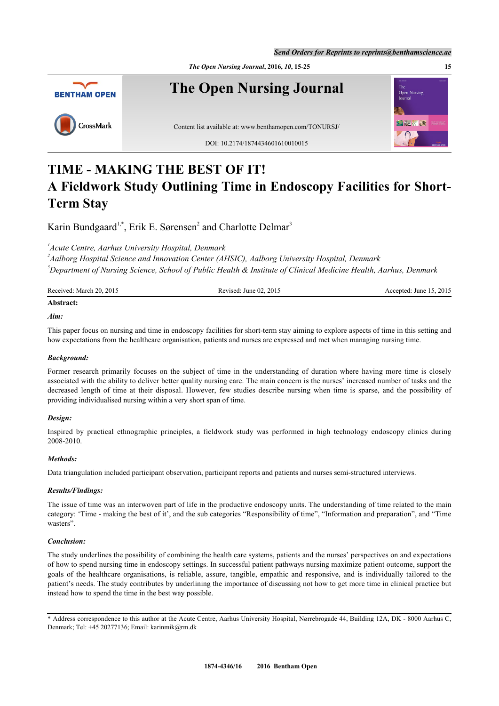*Send Orders for Reprints to reprints@benthamscience.ae*





# **TIME - MAKING THE BEST OF IT! A Fieldwork Study Outlining Time in Endoscopy Facilities for Short-Term Stay**

Karin Bundgaard<sup>[1,](#page-0-0)[\\*](#page-0-1)</sup>, Erik E. Sørensen<sup>[2](#page-0-2)</sup> and Charlotte Delmar<sup>[3](#page-0-3)</sup>

<span id="page-0-0"></span>*1 Acute Centre, Aarhus University Hospital, Denmark*

<span id="page-0-3"></span><span id="page-0-2"></span>*2 Aalborg Hospital Science and Innovation Center (AHSIC), Aalborg University Hospital, Denmark <sup>3</sup>Department of Nursing Science, School of Public Health & Institute of Clinical Medicine Health, Aarhus, Denmark*

| Received: March 20, 2015 | Revised: June $02, 2015$ | Accepted: June 15, 2015 |
|--------------------------|--------------------------|-------------------------|
| Abstract:                |                          |                         |

# *Aim:*

This paper focus on nursing and time in endoscopy facilities for short-term stay aiming to explore aspects of time in this setting and how expectations from the healthcare organisation, patients and nurses are expressed and met when managing nursing time.

# *Background:*

Former research primarily focuses on the subject of time in the understanding of duration where having more time is closely associated with the ability to deliver better quality nursing care. The main concern is the nurses' increased number of tasks and the decreased length of time at their disposal. However, few studies describe nursing when time is sparse, and the possibility of providing individualised nursing within a very short span of time.

# *Design:*

Inspired by practical ethnographic principles, a fieldwork study was performed in high technology endoscopy clinics during 2008-2010.

## *Methods:*

Data triangulation included participant observation, participant reports and patients and nurses semi-structured interviews.

# *Results/Findings:*

The issue of time was an interwoven part of life in the productive endoscopy units. The understanding of time related to the main category: 'Time - making the best of it', and the sub categories "Responsibility of time", "Information and preparation", and "Time wasters".

## *Conclusion:*

The study underlines the possibility of combining the health care systems, patients and the nurses' perspectives on and expectations of how to spend nursing time in endoscopy settings. In successful patient pathways nursing maximize patient outcome, support the goals of the healthcare organisations, is reliable, assure, tangible, empathic and responsive, and is individually tailored to the patient's needs. The study contributes by underlining the importance of discussing not how to get more time in clinical practice but instead how to spend the time in the best way possible.

<span id="page-0-1"></span>\* Address correspondence to this author at the Acute Centre, Aarhus University Hospital, Nørrebrogade 44, Building 12A, DK - 8000 Aarhus C, Denmark; Tel: +45 20277136; Email: [karinmik@rm.dk](mailto:karinmik@rm.dk)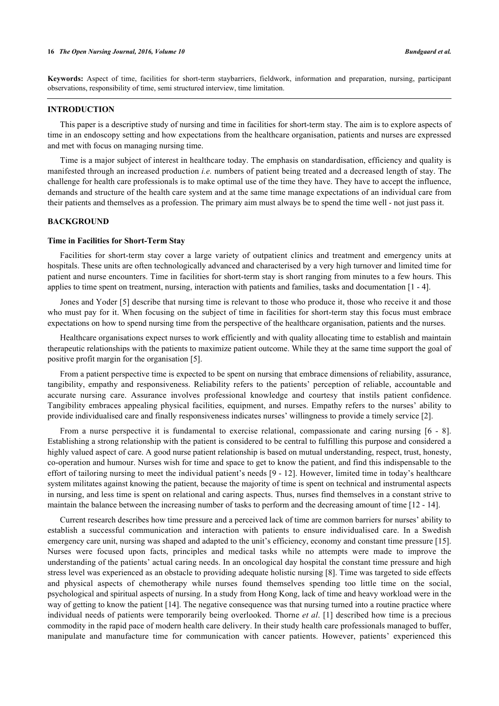**Keywords:** Aspect of time, facilities for short-term staybarriers, fieldwork, information and preparation, nursing, participant observations, responsibility of time, semi structured interview, time limitation.

## **INTRODUCTION**

This paper is a descriptive study of nursing and time in facilities for short-term stay. The aim is to explore aspects of time in an endoscopy setting and how expectations from the healthcare organisation, patients and nurses are expressed and met with focus on managing nursing time.

Time is a major subject of interest in healthcare today. The emphasis on standardisation, efficiency and quality is manifested through an increased production *i.e.* numbers of patient being treated and a decreased length of stay. The challenge for health care professionals is to make optimal use of the time they have. They have to accept the influence, demands and structure of the health care system and at the same time manage expectations of an individual care from their patients and themselves as a profession. The primary aim must always be to spend the time well - not just pass it.

#### **BACKGROUND**

#### **Time in Facilities for Short-Term Stay**

Facilities for short-term stay cover a large variety of outpatient clinics and treatment and emergency units at hospitals. These units are often technologically advanced and characterised by a very high turnover and limited time for patient and nurse encounters. Time in facilities for short-term stay is short ranging from minutes to a few hours. This applies to time spent on treatment, nursing, interaction with patients and families, tasks and documentation [[1](#page-8-0) - [4](#page-8-1)].

Jones and Yoder [\[5](#page-8-2)] describe that nursing time is relevant to those who produce it, those who receive it and those who must pay for it. When focusing on the subject of time in facilities for short-term stay this focus must embrace expectations on how to spend nursing time from the perspective of the healthcare organisation, patients and the nurses.

Healthcare organisations expect nurses to work efficiently and with quality allocating time to establish and maintain therapeutic relationships with the patients to maximize patient outcome. While they at the same time support the goal of positive profit margin for the organisation [[5\]](#page-8-2).

From a patient perspective time is expected to be spent on nursing that embrace dimensions of reliability, assurance, tangibility, empathy and responsiveness. Reliability refers to the patients' perception of reliable, accountable and accurate nursing care. Assurance involves professional knowledge and courtesy that instils patient confidence. Tangibility embraces appealing physical facilities, equipment, and nurses. Empathy refers to the nurses' ability to provide individualised care and finally responsiveness indicates nurses' willingness to provide a timely service [\[2](#page-8-3)].

From a nurse perspective it is fundamental to exercise relational, compassionate and caring nursing [\[6](#page-8-4) - [8\]](#page-8-5). Establishing a strong relationship with the patient is considered to be central to fulfilling this purpose and considered a highly valued aspect of care. A good nurse patient relationship is based on mutual understanding, respect, trust, honesty, co-operation and humour. Nurses wish for time and space to get to know the patient, and find this indispensable to the effort of tailoring nursing to meet the individual patient's needs [[9](#page-8-6) - [12](#page-8-7)]. However, limited time in today's healthcare system militates against knowing the patient, because the majority of time is spent on technical and instrumental aspects in nursing, and less time is spent on relational and caring aspects. Thus, nurses find themselves in a constant strive to maintain the balance between the increasing number of tasks to perform and the decreasing amount of time [\[12](#page-8-7) - [14\]](#page-9-0).

Current research describes how time pressure and a perceived lack of time are common barriers for nurses' ability to establish a successful communication and interaction with patients to ensure individualised care. In a Swedish emergency care unit, nursing was shaped and adapted to the unit's efficiency, economy and constant time pressure [[15\]](#page-9-1). Nurses were focused upon facts, principles and medical tasks while no attempts were made to improve the understanding of the patients' actual caring needs. In an oncological day hospital the constant time pressure and high stress level was experienced as an obstacle to providing adequate holistic nursing [[8\]](#page-8-5). Time was targeted to side effects and physical aspects of chemotherapy while nurses found themselves spending too little time on the social, psychological and spiritual aspects of nursing. In a study from Hong Kong, lack of time and heavy workload were in the way of getting to know the patient [\[14](#page-9-0)]. The negative consequence was that nursing turned into a routine practice where individual needs of patients were temporarily being overlooked. Thorne *et al*. [[1\]](#page-8-0) described how time is a precious commodity in the rapid pace of modern health care delivery. In their study health care professionals managed to buffer, manipulate and manufacture time for communication with cancer patients. However, patients' experienced this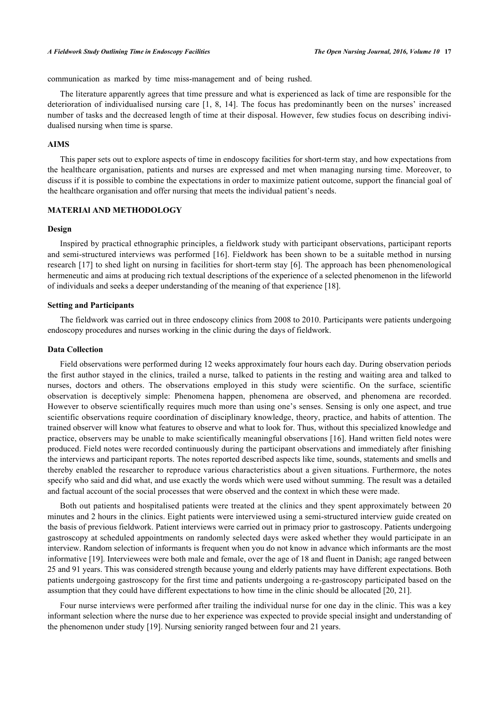communication as marked by time miss-management and of being rushed.

The literature apparently agrees that time pressure and what is experienced as lack of time are responsible for the deterioration of individualised nursing care [\[1](#page-8-0), [8,](#page-8-5) [14](#page-9-0)]. The focus has predominantly been on the nurses' increased number of tasks and the decreased length of time at their disposal. However, few studies focus on describing individualised nursing when time is sparse.

## **AIMS**

This paper sets out to explore aspects of time in endoscopy facilities for short-term stay, and how expectations from the healthcare organisation, patients and nurses are expressed and met when managing nursing time. Moreover, to discuss if it is possible to combine the expectations in order to maximize patient outcome, support the financial goal of the healthcare organisation and offer nursing that meets the individual patient's needs.

## **MATERIAl AND METHODOLOGY**

#### **Design**

Inspired by practical ethnographic principles, a fieldwork study with participant observations, participant reports and semi-structured interviews was performed [[16\]](#page-9-2). Fieldwork has been shown to be a suitable method in nursing research [\[17\]](#page-9-3) to shed light on nursing in facilities for short-term stay [[6](#page-8-4)]. The approach has been phenomenological hermeneutic and aims at producing rich textual descriptions of the experience of a selected phenomenon in the lifeworld of individuals and seeks a deeper understanding of the meaning of that experience [[18\]](#page-9-4).

#### **Setting and Participants**

The fieldwork was carried out in three endoscopy clinics from 2008 to 2010. Participants were patients undergoing endoscopy procedures and nurses working in the clinic during the days of fieldwork.

## **Data Collection**

Field observations were performed during 12 weeks approximately four hours each day. During observation periods the first author stayed in the clinics, trailed a nurse, talked to patients in the resting and waiting area and talked to nurses, doctors and others. The observations employed in this study were scientific. On the surface, scientific observation is deceptively simple: Phenomena happen, phenomena are observed, and phenomena are recorded. However to observe scientifically requires much more than using one's senses. Sensing is only one aspect, and true scientific observations require coordination of disciplinary knowledge, theory, practice, and habits of attention. The trained observer will know what features to observe and what to look for. Thus, without this specialized knowledge and practice, observers may be unable to make scientifically meaningful observations [\[16\]](#page-9-2). Hand written field notes were produced. Field notes were recorded continuously during the participant observations and immediately after finishing the interviews and participant reports. The notes reported described aspects like time, sounds, statements and smells and thereby enabled the researcher to reproduce various characteristics about a given situations. Furthermore, the notes specify who said and did what, and use exactly the words which were used without summing. The result was a detailed and factual account of the social processes that were observed and the context in which these were made.

Both out patients and hospitalised patients were treated at the clinics and they spent approximately between 20 minutes and 2 hours in the clinics. Eight patients were interviewed using a semi-structured interview guide created on the basis of previous fieldwork. Patient interviews were carried out in primacy prior to gastroscopy. Patients undergoing gastroscopy at scheduled appointments on randomly selected days were asked whether they would participate in an interview. Random selection of informants is frequent when you do not know in advance which informants are the most informative [[19\]](#page-9-5). Interviewees were both male and female, over the age of 18 and fluent in Danish; age ranged between 25 and 91 years. This was considered strength because young and elderly patients may have different expectations. Both patients undergoing gastroscopy for the first time and patients undergoing a re-gastroscopy participated based on the assumption that they could have different expectations to how time in the clinic should be allocated [[20,](#page-9-6) [21\]](#page-9-7).

Four nurse interviews were performed after trailing the individual nurse for one day in the clinic. This was a key informant selection where the nurse due to her experience was expected to provide special insight and understanding of the phenomenon under study [\[19](#page-9-5)]. Nursing seniority ranged between four and 21 years.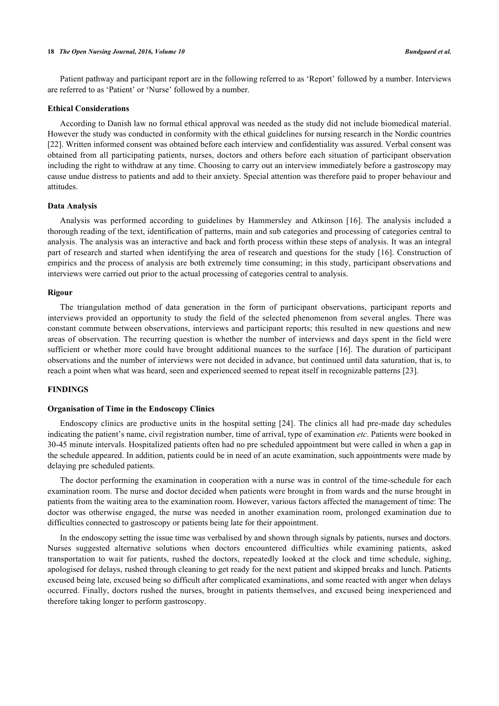#### **18** *The Open Nursing Journal, 2016, Volume 10 Bundgaard et al.*

Patient pathway and participant report are in the following referred to as 'Report' followed by a number. Interviews are referred to as 'Patient' or 'Nurse' followed by a number.

## **Ethical Considerations**

According to Danish law no formal ethical approval was needed as the study did not include biomedical material. However the study was conducted in conformity with the ethical guidelines for nursing research in the Nordic countries [\[22](#page-9-8)]. Written informed consent was obtained before each interview and confidentiality was assured. Verbal consent was obtained from all participating patients, nurses, doctors and others before each situation of participant observation including the right to withdraw at any time. Choosing to carry out an interview immediately before a gastroscopy may cause undue distress to patients and add to their anxiety. Special attention was therefore paid to proper behaviour and attitudes.

## **Data Analysis**

Analysis was performed according to guidelines by Hammersley and Atkinson[[16\]](#page-9-2). The analysis included a thorough reading of the text, identification of patterns, main and sub categories and processing of categories central to analysis. The analysis was an interactive and back and forth process within these steps of analysis. It was an integral part of research and started when identifying the area of research and questions for the study [\[16](#page-9-2)]. Construction of empirics and the process of analysis are both extremely time consuming; in this study, participant observations and interviews were carried out prior to the actual processing of categories central to analysis.

#### **Rigour**

The triangulation method of data generation in the form of participant observations, participant reports and interviews provided an opportunity to study the field of the selected phenomenon from several angles. There was constant commute between observations, interviews and participant reports; this resulted in new questions and new areas of observation. The recurring question is whether the number of interviews and days spent in the field were sufficient or whether more could have brought additional nuances to the surface [[16](#page-9-2)]. The duration of participant observations and the number of interviews were not decided in advance, but continued until data saturation, that is, to reach a point when what was heard, seen and experienced seemed to repeat itself in recognizable patterns [[23\]](#page-9-9).

# **FINDINGS**

#### **Organisation of Time in the Endoscopy Clinics**

Endoscopy clinics are productive units in the hospital setting [\[24\]](#page-9-10). The clinics all had pre-made day schedules indicating the patient's name, civil registration number, time of arrival, type of examination *etc*. Patients were booked in 30-45 minute intervals. Hospitalized patients often had no pre scheduled appointment but were called in when a gap in the schedule appeared. In addition, patients could be in need of an acute examination, such appointments were made by delaying pre scheduled patients.

The doctor performing the examination in cooperation with a nurse was in control of the time-schedule for each examination room. The nurse and doctor decided when patients were brought in from wards and the nurse brought in patients from the waiting area to the examination room. However, various factors affected the management of time: The doctor was otherwise engaged, the nurse was needed in another examination room, prolonged examination due to difficulties connected to gastroscopy or patients being late for their appointment.

In the endoscopy setting the issue time was verbalised by and shown through signals by patients, nurses and doctors. Nurses suggested alternative solutions when doctors encountered difficulties while examining patients, asked transportation to wait for patients, rushed the doctors, repeatedly looked at the clock and time schedule, sighing, apologised for delays, rushed through cleaning to get ready for the next patient and skipped breaks and lunch. Patients excused being late, excused being so difficult after complicated examinations, and some reacted with anger when delays occurred. Finally, doctors rushed the nurses, brought in patients themselves, and excused being inexperienced and therefore taking longer to perform gastroscopy.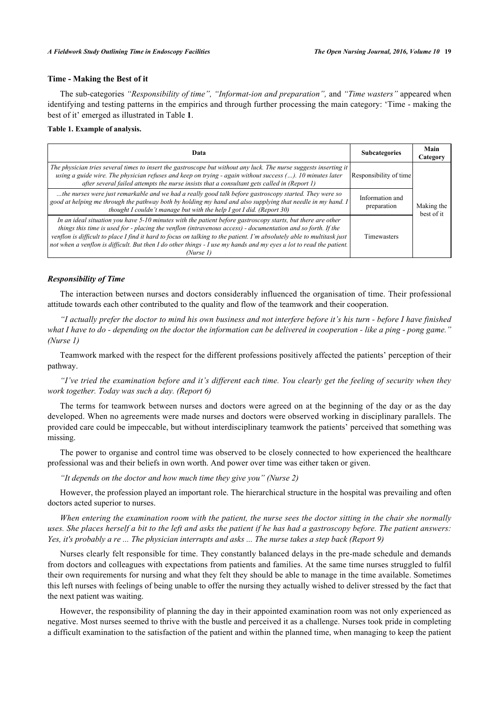## **Time - Making the Best of it**

The sub-categories *"Responsibility of time", "Informat-ion and preparation",* and *"Time wasters"* appeared when identifying and testing patterns in the empirics and through further processing the main category: 'Time - making the best of it' emerged as illustrated in Table **[1](#page-4-0)**.

## <span id="page-4-0"></span>**Table 1. Example of analysis.**

| Data                                                                                                                                                                                                                                                                                                                                                                                                                                                                                        | <b>Subcategories</b>           | Main<br>Category         |
|---------------------------------------------------------------------------------------------------------------------------------------------------------------------------------------------------------------------------------------------------------------------------------------------------------------------------------------------------------------------------------------------------------------------------------------------------------------------------------------------|--------------------------------|--------------------------|
| The physician tries several times to insert the gastroscope but without any luck. The nurse suggests inserting it<br>using a guide wire. The physician refuses and keep on trying - again without success $()$ . 10 minutes later<br>after several failed attempts the nurse insists that a consultant gets called in (Report 1)                                                                                                                                                            | Responsibility of time         | Making the<br>best of it |
| the nurses were just remarkable and we had a really good talk before gastroscopy started. They were so<br>good at helping me through the pathway both by holding my hand and also supplying that needle in my hand. I<br>thought I couldn't manage but with the help I got I did. (Report 30)                                                                                                                                                                                               | Information and<br>preparation |                          |
| In an ideal situation you have $5-10$ minutes with the patient before gastroscopy starts, but there are other<br>things this time is used for - placing the venflon (intravenous access) - documentation and so forth. If the<br>venflon is difficult to place I find it hard to focus on talking to the patient. I'm absolutely able to multitask just<br>not when a venflon is difficult. But then I do other things - I use my hands and my eyes a lot to read the patient.<br>(Nurse 1) | <b>Timewasters</b>             |                          |

### *Responsibility of Time*

The interaction between nurses and doctors considerably influenced the organisation of time. Their professional attitude towards each other contributed to the quality and flow of the teamwork and their cooperation.

*"I actually prefer the doctor to mind his own business and not interfere before it's his turn - before I have finished what I have to do - depending on the doctor the information can be delivered in cooperation - like a ping - pong game." (Nurse 1)*

Teamwork marked with the respect for the different professions positively affected the patients' perception of their pathway.

*"I've tried the examination before and it's different each time. You clearly get the feeling of security when they work together. Today was such a day. (Report 6)*

The terms for teamwork between nurses and doctors were agreed on at the beginning of the day or as the day developed. When no agreements were made nurses and doctors were observed working in disciplinary parallels. The provided care could be impeccable, but without interdisciplinary teamwork the patients' perceived that something was missing.

The power to organise and control time was observed to be closely connected to how experienced the healthcare professional was and their beliefs in own worth. And power over time was either taken or given.

*"It depends on the doctor and how much time they give you" (Nurse 2)*

However, the profession played an important role. The hierarchical structure in the hospital was prevailing and often doctors acted superior to nurses.

*When entering the examination room with the patient, the nurse sees the doctor sitting in the chair she normally uses. She places herself a bit to the left and asks the patient if he has had a gastroscopy before. The patient answers: Yes, it's probably a re ... The physician interrupts and asks ... The nurse takes a step back (Report 9)*

Nurses clearly felt responsible for time. They constantly balanced delays in the pre-made schedule and demands from doctors and colleagues with expectations from patients and families. At the same time nurses struggled to fulfil their own requirements for nursing and what they felt they should be able to manage in the time available. Sometimes this left nurses with feelings of being unable to offer the nursing they actually wished to deliver stressed by the fact that the next patient was waiting.

However, the responsibility of planning the day in their appointed examination room was not only experienced as negative. Most nurses seemed to thrive with the bustle and perceived it as a challenge. Nurses took pride in completing a difficult examination to the satisfaction of the patient and within the planned time, when managing to keep the patient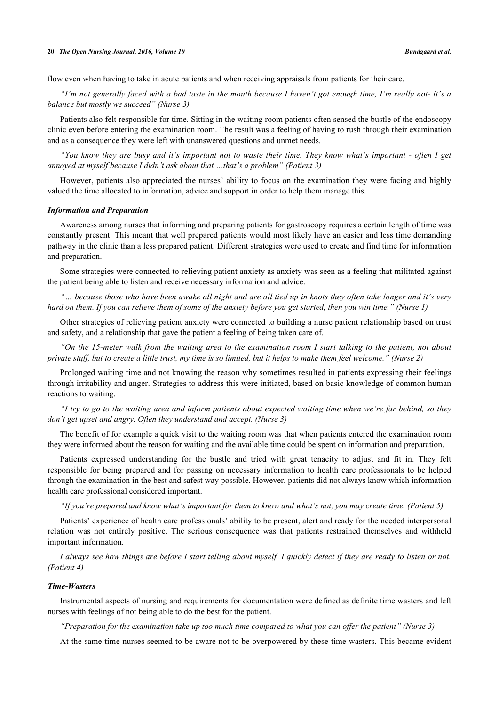flow even when having to take in acute patients and when receiving appraisals from patients for their care.

*"I'm not generally faced with a bad taste in the mouth because I haven't got enough time, I'm really not- it's a balance but mostly we succeed" (Nurse 3)*

Patients also felt responsible for time. Sitting in the waiting room patients often sensed the bustle of the endoscopy clinic even before entering the examination room. The result was a feeling of having to rush through their examination and as a consequence they were left with unanswered questions and unmet needs.

*"You know they are busy and it's important not to waste their time. They know what's important - often I get annoyed at myself because I didn't ask about that …that's a problem" (Patient 3)*

However, patients also appreciated the nurses' ability to focus on the examination they were facing and highly valued the time allocated to information, advice and support in order to help them manage this.

#### *Information and Preparation*

Awareness among nurses that informing and preparing patients for gastroscopy requires a certain length of time was constantly present. This meant that well prepared patients would most likely have an easier and less time demanding pathway in the clinic than a less prepared patient. Different strategies were used to create and find time for information and preparation.

Some strategies were connected to relieving patient anxiety as anxiety was seen as a feeling that militated against the patient being able to listen and receive necessary information and advice.

*"… because those who have been awake all night and are all tied up in knots they often take longer and it's very hard on them. If you can relieve them of some of the anxiety before you get started, then you win time." (Nurse 1)*

Other strategies of relieving patient anxiety were connected to building a nurse patient relationship based on trust and safety, and a relationship that gave the patient a feeling of being taken care of.

*"On the 15-meter walk from the waiting area to the examination room I start talking to the patient, not about private stuff, but to create a little trust, my time is so limited, but it helps to make them feel welcome." (Nurse 2)*

Prolonged waiting time and not knowing the reason why sometimes resulted in patients expressing their feelings through irritability and anger. Strategies to address this were initiated, based on basic knowledge of common human reactions to waiting.

*"I try to go to the waiting area and inform patients about expected waiting time when we're far behind, so they don't get upset and angry. Often they understand and accept. (Nurse 3)*

The benefit of for example a quick visit to the waiting room was that when patients entered the examination room they were informed about the reason for waiting and the available time could be spent on information and preparation.

Patients expressed understanding for the bustle and tried with great tenacity to adjust and fit in. They felt responsible for being prepared and for passing on necessary information to health care professionals to be helped through the examination in the best and safest way possible. However, patients did not always know which information health care professional considered important.

*"If you're prepared and know what's important for them to know and what's not, you may create time. (Patient 5)*

Patients' experience of health care professionals' ability to be present, alert and ready for the needed interpersonal relation was not entirely positive. The serious consequence was that patients restrained themselves and withheld important information.

*I always see how things are before I start telling about myself. I quickly detect if they are ready to listen or not. (Patient 4)*

## *Time-Wasters*

Instrumental aspects of nursing and requirements for documentation were defined as definite time wasters and left nurses with feelings of not being able to do the best for the patient.

*"Preparation for the examination take up too much time compared to what you can offer the patient" (Nurse 3)*

At the same time nurses seemed to be aware not to be overpowered by these time wasters. This became evident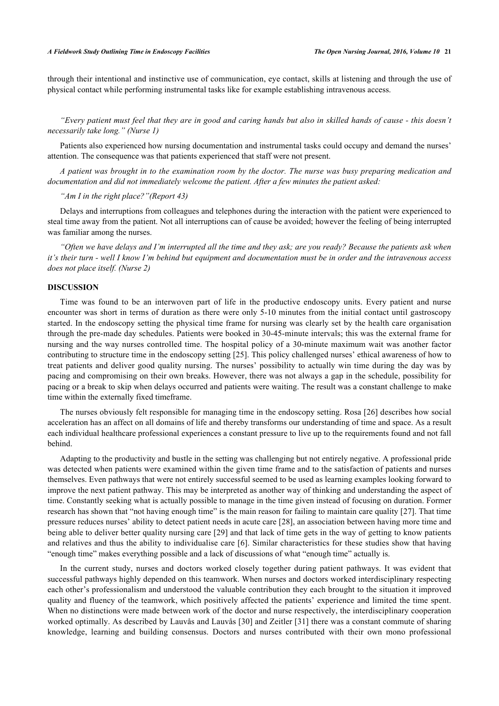through their intentional and instinctive use of communication, eye contact, skills at listening and through the use of physical contact while performing instrumental tasks like for example establishing intravenous access.

*"Every patient must feel that they are in good and caring hands but also in skilled hands of cause - this doesn't necessarily take long." (Nurse 1)*

Patients also experienced how nursing documentation and instrumental tasks could occupy and demand the nurses' attention. The consequence was that patients experienced that staff were not present.

*A patient was brought in to the examination room by the doctor. The nurse was busy preparing medication and documentation and did not immediately welcome the patient. After a few minutes the patient asked:*

*"Am I in the right place?"(Report 43)*

Delays and interruptions from colleagues and telephones during the interaction with the patient were experienced to steal time away from the patient. Not all interruptions can of cause be avoided; however the feeling of being interrupted was familiar among the nurses.

*"Often we have delays and I'm interrupted all the time and they ask; are you ready? Because the patients ask when it's their turn - well I know I'm behind but equipment and documentation must be in order and the intravenous access does not place itself. (Nurse 2)*

### **DISCUSSION**

Time was found to be an interwoven part of life in the productive endoscopy units. Every patient and nurse encounter was short in terms of duration as there were only 5-10 minutes from the initial contact until gastroscopy started. In the endoscopy setting the physical time frame for nursing was clearly set by the health care organisation through the pre-made day schedules. Patients were booked in 30-45-minute intervals; this was the external frame for nursing and the way nurses controlled time. The hospital policy of a 30-minute maximum wait was another factor contributing to structure time in the endoscopy setting [\[25](#page-9-11)]. This policy challenged nurses' ethical awareness of how to treat patients and deliver good quality nursing. The nurses' possibility to actually win time during the day was by pacing and compromising on their own breaks. However, there was not always a gap in the schedule, possibility for pacing or a break to skip when delays occurred and patients were waiting. The result was a constant challenge to make time within the externally fixed timeframe.

The nurses obviously felt responsible for managing time in the endoscopy setting. Rosa [[26\]](#page-9-12) describes how social acceleration has an affect on all domains of life and thereby transforms our understanding of time and space. As a result each individual healthcare professional experiences a constant pressure to live up to the requirements found and not fall behind.

Adapting to the productivity and bustle in the setting was challenging but not entirely negative. A professional pride was detected when patients were examined within the given time frame and to the satisfaction of patients and nurses themselves. Even pathways that were not entirely successful seemed to be used as learning examples looking forward to improve the next patient pathway. This may be interpreted as another way of thinking and understanding the aspect of time. Constantly seeking what is actually possible to manage in the time given instead of focusing on duration. Former research has shown that "not having enough time" is the main reason for failing to maintain care quality [\[27](#page-9-13)]. That time pressure reduces nurses' ability to detect patient needs in acute care [\[28](#page-9-14)], an association between having more time and being able to deliver better quality nursing care [\[29\]](#page-9-15) and that lack of time gets in the way of getting to know patients and relatives and thus the ability to individualise care [[6](#page-8-4)]. Similar characteristics for these studies show that having "enough time" makes everything possible and a lack of discussions of what "enough time" actually is.

In the current study, nurses and doctors worked closely together during patient pathways. It was evident that successful pathways highly depended on this teamwork. When nurses and doctors worked interdisciplinary respecting each other's professionalism and understood the valuable contribution they each brought to the situation it improved quality and fluency of the teamwork, which positively affected the patients' experience and limited the time spent. When no distinctions were made between work of the doctor and nurse respectively, the interdisciplinary cooperation worked optimally. As described by Lauvås and Lauvås [[30](#page-9-16)] and Zeitler [[31](#page-9-17)] there was a constant commute of sharing knowledge, learning and building consensus. Doctors and nurses contributed with their own mono professional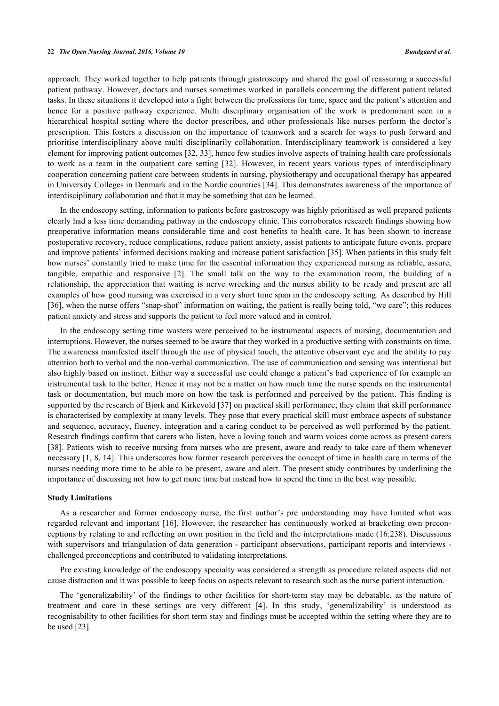approach. They worked together to help patients through gastroscopy and shared the goal of reassuring a successful patient pathway. However, doctors and nurses sometimes worked in parallels concerning the different patient related tasks. In these situations it developed into a fight between the professions for time, space and the patient's attention and hence for a positive pathway experience. Multi disciplinary organisation of the work is predominant seen in a hierarchical hospital setting where the doctor prescribes, and other professionals like nurses perform the doctor's prescription. This fosters a discussion on the importance of teamwork and a search for ways to push forward and prioritise interdisciplinary above multi disciplinarily collaboration. Interdisciplinary teamwork is considered a key element for improving patient outcomes [[32,](#page-9-18) [33\]](#page-9-19), hence few studies involve aspects of training health care professionals to work as a team in the outpatient care setting[[32](#page-9-18)]. However, in recent years various types of interdisciplinary cooperation concerning patient care between students in nursing, physiotherapy and occupational therapy has appeared in University Colleges in Denmark and in the Nordic countries [\[34](#page-9-20)]. This demonstrates awareness of the importance of interdisciplinary collaboration and that it may be something that can be learned.

In the endoscopy setting, information to patients before gastroscopy was highly prioritised as well prepared patients clearly had a less time demanding pathway in the endoscopy clinic. This corroborates research findings showing how preoperative information means considerable time and cost benefits to health care. It has been shown to increase postoperative recovery, reduce complications, reduce patient anxiety, assist patients to anticipate future events, prepare and improve patients' informed decisions making and increase patient satisfaction [\[35](#page-9-21)]. When patients in this study felt how nurses' constantly tried to make time for the essential information they experienced nursing as reliable, assure, tangible, empathic and responsive [\[2](#page-8-3)]. The small talk on the way to the examination room, the building of a relationship, the appreciation that waiting is nerve wrecking and the nurses ability to be ready and present are all examples of how good nursing was exercised in a very short time span in the endoscopy setting. As described by Hill [\[36](#page-9-22)], when the nurse offers "snap-shot" information on waiting, the patient is really being told, "we care"; this reduces patient anxiety and stress and supports the patient to feel more valued and in control.

In the endoscopy setting time wasters were perceived to be instrumental aspects of nursing, documentation and interruptions. However, the nurses seemed to be aware that they worked in a productive setting with constraints on time. The awareness manifested itself through the use of physical touch, the attentive observant eye and the ability to pay attention both to verbal and the non-verbal communication. The use of communication and sensing was intentional but also highly based on instinct. Either way a successful use could change a patient's bad experience of for example an instrumental task to the better. Hence it may not be a matter on how much time the nurse spends on the instrumental task or documentation, but much more on how the task is performed and perceived by the patient. This finding is supported by the research of Bjørk and Kirkevold [[37](#page-9-23)] on practical skill performance; they claim that skill performance is characterised by complexity at many levels. They pose that every practical skill must embrace aspects of substance and sequence, accuracy, fluency, integration and a caring conduct to be perceived as well performed by the patient. Research findings confirm that carers who listen, have a loving touch and warm voices come across as present carers [\[38](#page-10-0)]. Patients wish to receive nursing from nurses who are present, aware and ready to take care of them whenever necessary [\[1](#page-8-0), [8](#page-8-5), [14\]](#page-9-0). This underscores how former research perceives the concept of time in health care in terms of the nurses needing more time to be able to be present, aware and alert. The present study contributes by underlining the importance of discussing not how to get more time but instead how to spend the time in the best way possible.

#### **Study Limitations**

As a researcher and former endoscopy nurse, the first author's pre understanding may have limited what was regarded relevant and important [\[16](#page-9-2)]. However, the researcher has continuously worked at bracketing own preconceptions by relating to and reflecting on own position in the field and the interpretations made (16:238). Discussions with supervisors and triangulation of data generation - participant observations, participant reports and interviews challenged preconceptions and contributed to validating interpretations.

Pre existing knowledge of the endoscopy specialty was considered a strength as procedure related aspects did not cause distraction and it was possible to keep focus on aspects relevant to research such as the nurse patient interaction.

The 'generalizability' of the findings to other facilities for short-term stay may be debatable, as the nature of treatment and care in these settings are very different [\[4](#page-8-1)]. In this study, 'generalizability' is understood as recognisability to other facilities for short term stay and findings must be accepted within the setting where they are to be used [[23\]](#page-9-9).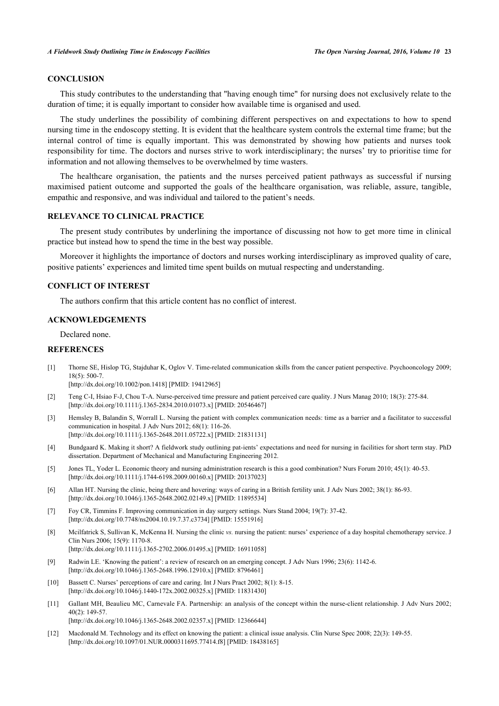## **CONCLUSION**

This study contributes to the understanding that "having enough time" for nursing does not exclusively relate to the duration of time; it is equally important to consider how available time is organised and used.

The study underlines the possibility of combining different perspectives on and expectations to how to spend nursing time in the endoscopy stetting. It is evident that the healthcare system controls the external time frame; but the internal control of time is equally important. This was demonstrated by showing how patients and nurses took responsibility for time. The doctors and nurses strive to work interdisciplinary; the nurses' try to prioritise time for information and not allowing themselves to be overwhelmed by time wasters.

The healthcare organisation, the patients and the nurses perceived patient pathways as successful if nursing maximised patient outcome and supported the goals of the healthcare organisation, was reliable, assure, tangible, empathic and responsive, and was individual and tailored to the patient's needs.

## **RELEVANCE TO CLINICAL PRACTICE**

The present study contributes by underlining the importance of discussing not how to get more time in clinical practice but instead how to spend the time in the best way possible.

Moreover it highlights the importance of doctors and nurses working interdisciplinary as improved quality of care, positive patients' experiences and limited time spent builds on mutual respecting and understanding.

# **CONFLICT OF INTEREST**

The authors confirm that this article content has no conflict of interest.

### **ACKNOWLEDGEMENTS**

Declared none.

# **REFERENCES**

<span id="page-8-0"></span>[1] Thorne SE, Hislop TG, Stajduhar K, Oglov V. Time-related communication skills from the cancer patient perspective. Psychooncology 2009; 18(5): 500-7.

[\[http://dx.doi.org/10.1002/pon.1418\]](http://dx.doi.org/10.1002/pon.1418) [PMID: [19412965](http://www.ncbi.nlm.nih.gov/pubmed/19412965)]

- <span id="page-8-3"></span>[2] Teng C-I, Hsiao F-J, Chou T-A. Nurse-perceived time pressure and patient perceived care quality. J Nurs Manag 2010; 18(3): 275-84. [\[http://dx.doi.org/10.1111/j.1365-2834.2010.01073.x\]](http://dx.doi.org/10.1111/j.1365-2834.2010.01073.x) [PMID: [20546467](http://www.ncbi.nlm.nih.gov/pubmed/20546467)]
- [3] Hemsley B, Balandin S, Worrall L. Nursing the patient with complex communication needs: time as a barrier and a facilitator to successful communication in hospital. J Adv Nurs 2012; 68(1): 116-26. [\[http://dx.doi.org/10.1111/j.1365-2648.2011.05722.x\]](http://dx.doi.org/10.1111/j.1365-2648.2011.05722.x) [PMID: [21831131](http://www.ncbi.nlm.nih.gov/pubmed/21831131)]
- <span id="page-8-1"></span>[4] Bundgaard K. Making it short? A fieldwork study outlining pat-ients' expectations and need for nursing in facilities for short term stay. PhD dissertation. Department of Mechanical and Manufacturing Engineering 2012.
- <span id="page-8-2"></span>[5] Jones TL, Yoder L. Economic theory and nursing administration research is this a good combination? Nurs Forum 2010; 45(1): 40-53. [\[http://dx.doi.org/10.1111/j.1744-6198.2009.00160.x\]](http://dx.doi.org/10.1111/j.1744-6198.2009.00160.x) [PMID: [20137023](http://www.ncbi.nlm.nih.gov/pubmed/20137023)]
- <span id="page-8-4"></span>[6] Allan HT. Nursing the clinic, being there and hovering: ways of caring in a British fertility unit. J Adv Nurs 2002; 38(1): 86-93. [\[http://dx.doi.org/10.1046/j.1365-2648.2002.02149.x\]](http://dx.doi.org/10.1046/j.1365-2648.2002.02149.x) [PMID: [11895534](http://www.ncbi.nlm.nih.gov/pubmed/11895534)]
- [7] Foy CR, Timmins F. Improving communication in day surgery settings. Nurs Stand 2004; 19(7): 37-42. [\[http://dx.doi.org/10.7748/ns2004.10.19.7.37.c3734](http://dx.doi.org/10.7748/ns2004.10.19.7.37.c3734)] [PMID: [15551916](http://www.ncbi.nlm.nih.gov/pubmed/15551916)]
- <span id="page-8-5"></span>[8] Mcilfatrick S, Sullivan K, McKenna H. Nursing the clinic *vs.* nursing the patient: nurses' experience of a day hospital chemotherapy service. J Clin Nurs 2006; 15(9): 1170-8. [\[http://dx.doi.org/10.1111/j.1365-2702.2006.01495.x\]](http://dx.doi.org/10.1111/j.1365-2702.2006.01495.x) [PMID: [16911058](http://www.ncbi.nlm.nih.gov/pubmed/16911058)]
- <span id="page-8-6"></span>[9] Radwin LE. 'Knowing the patient': a review of research on an emerging concept. J Adv Nurs 1996; 23(6): 1142-6. [\[http://dx.doi.org/10.1046/j.1365-2648.1996.12910.x\]](http://dx.doi.org/10.1046/j.1365-2648.1996.12910.x) [PMID: [8796461](http://www.ncbi.nlm.nih.gov/pubmed/8796461)]
- [10] Bassett C. Nurses' perceptions of care and caring. Int J Nurs Pract 2002; 8(1): 8-15. [\[http://dx.doi.org/10.1046/j.1440-172x.2002.00325.x\]](http://dx.doi.org/10.1046/j.1440-172x.2002.00325.x) [PMID: [11831430](http://www.ncbi.nlm.nih.gov/pubmed/11831430)]
- [11] Gallant MH, Beaulieu MC, Carnevale FA. Partnership: an analysis of the concept within the nurse-client relationship. J Adv Nurs 2002;  $40(2)$ : 149-57. [\[http://dx.doi.org/10.1046/j.1365-2648.2002.02357.x\]](http://dx.doi.org/10.1046/j.1365-2648.2002.02357.x) [PMID: [12366644](http://www.ncbi.nlm.nih.gov/pubmed/12366644)]
- <span id="page-8-7"></span>[12] Macdonald M. Technology and its effect on knowing the patient: a clinical issue analysis. Clin Nurse Spec 2008; 22(3): 149-55. [\[http://dx.doi.org/10.1097/01.NUR.0000311695.77414.f8](http://dx.doi.org/10.1097/01.NUR.0000311695.77414.f8)] [PMID: [18438165\]](http://www.ncbi.nlm.nih.gov/pubmed/18438165)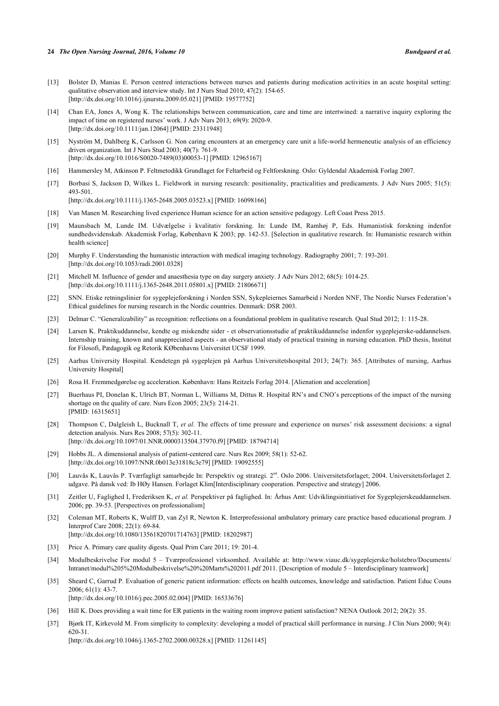#### **24** *The Open Nursing Journal, 2016, Volume 10 Bundgaard et al.*

- [13] Bolster D, Manias E. Person centred interactions between nurses and patients during medication activities in an acute hospital setting: qualitative observation and interview study. Int J Nurs Stud 2010; 47(2): 154-65. [\[http://dx.doi.org/10.1016/j.ijnurstu.2009.05.021](http://dx.doi.org/10.1016/j.ijnurstu.2009.05.021)] [PMID: [19577752](http://www.ncbi.nlm.nih.gov/pubmed/19577752)]
- <span id="page-9-0"></span>[14] Chan EA, Jones A, Wong K. The relationships between communication, care and time are intertwined: a narrative inquiry exploring the impact of time on registered nurses' work. J Adv Nurs 2013; 69(9): 2020-9. [\[http://dx.doi.org/10.1111/jan.12064\]](http://dx.doi.org/10.1111/jan.12064) [PMID: [23311948](http://www.ncbi.nlm.nih.gov/pubmed/23311948)]
- <span id="page-9-1"></span>[15] Nyström M, Dahlberg K, Carlsson G. Non caring encounters at an emergency care unit a life-world hermeneutic analysis of an efficiency driven organization. Int J Nurs Stud 2003; 40(7): 761-9. [\[http://dx.doi.org/10.1016/S0020-7489\(03\)00053-1\]](http://dx.doi.org/10.1016/S0020-7489(03)00053-1) [PMID: [12965167](http://www.ncbi.nlm.nih.gov/pubmed/12965167)]
- <span id="page-9-2"></span>[16] Hammersley M, Atkinson P. Feltmetodikk Grundlaget for Feltarbeid og Feltforskning. Oslo: Gyldendal Akademisk Forlag 2007.
- <span id="page-9-3"></span>[17] Borbasi S, Jackson D, Wilkes L. Fieldwork in nursing research: positionality, practicalities and predicaments. J Adv Nurs 2005; 51(5): 493-501. [\[http://dx.doi.org/10.1111/j.1365-2648.2005.03523.x\]](http://dx.doi.org/10.1111/j.1365-2648.2005.03523.x) [PMID: [16098166](http://www.ncbi.nlm.nih.gov/pubmed/16098166)]
- <span id="page-9-4"></span>[18] Van Manen M. Researching lived experience Human science for an action sensitive pedagogy. Left Coast Press 2015.
- <span id="page-9-5"></span>[19] Maunsbach M, Lunde IM. Udvælgelse i kvalitativ forskning. In: Lunde IM, Ramhøj P, Eds. Humanistisk forskning indenfor sundhedsvidenskab. Akademisk Forlag, København K 2003; pp. 142-53. [Selection in qualitative research. In: Humanistic research within health science]
- <span id="page-9-6"></span>[20] Murphy F. Understanding the humanistic interaction with medical imaging technology. Radiography 2001; 7: 193-201. [\[http://dx.doi.org/10.1053/radi.2001.0328](http://dx.doi.org/10.1053/radi.2001.0328)]
- <span id="page-9-7"></span>[21] Mitchell M. Influence of gender and anaesthesia type on day surgery anxiety. J Adv Nurs 2012; 68(5): 1014-25. [\[http://dx.doi.org/10.1111/j.1365-2648.2011.05801.x\]](http://dx.doi.org/10.1111/j.1365-2648.2011.05801.x) [PMID: [21806671](http://www.ncbi.nlm.nih.gov/pubmed/21806671)]
- <span id="page-9-8"></span>[22] SNN. Etiske retningslinier for sygeplejeforskning i Norden SSN, Sykepleiernes Samarbeid i Norden NNF, The Nordic Nurses Federation's Ethical guidelines for nursing research in the Nordic countries. Denmark: DSR 2003.
- <span id="page-9-9"></span>[23] Delmar C. "Generalizability" as recognition: reflections on a foundational problem in qualitative research. Qual Stud 2012; 1: 115-28.
- <span id="page-9-10"></span>[24] Larsen K. Praktikuddannelse, kendte og miskendte sider - et observationsstudie af praktikuddannelse indenfor sygeplejerske-uddannelsen. Internship training, known and unappreciated aspects - an observational study of practical training in nursing education. PhD thesis, Institut for Filosofi, Pædagogik og Retorik KØbenhavns Universitet UCSF 1999.
- <span id="page-9-11"></span>[25] Aarhus University Hospital. Kendetegn på sygeplejen på Aarhus Universitetshospital 2013; 24(7): 365. [Attributes of nursing, Aarhus University Hospital]
- <span id="page-9-12"></span>[26] Rosa H. Fremmedgørelse og acceleration. København: Hans Reitzels Forlag 2014. [Alienation and acceleration]
- <span id="page-9-13"></span>[27] Buerhaus PI, Donelan K, Ulrich BT, Norman L, Williams M, Dittus R. Hospital RN's and CNO's perceptions of the impact of the nursing shortage on the quality of care. Nurs Econ 2005; 23(5): 214-21. [PMID: [16315651\]](http://www.ncbi.nlm.nih.gov/pubmed/16315651)
- <span id="page-9-14"></span>[28] Thompson C, Dalgleish L, Bucknall T, *et al.* The effects of time pressure and experience on nurses' risk assessment decisions: a signal detection analysis. Nurs Res 2008; 57(5): 302-11. [\[http://dx.doi.org/10.1097/01.NNR.0000313504.37970.f9](http://dx.doi.org/10.1097/01.NNR.0000313504.37970.f9)] [PMID: [18794714\]](http://www.ncbi.nlm.nih.gov/pubmed/18794714)
- <span id="page-9-15"></span>[29] Hobbs JL. A dimensional analysis of patient-centered care. Nurs Res 2009; 58(1): 52-62. [\[http://dx.doi.org/10.1097/NNR.0b013e31818c3e79](http://dx.doi.org/10.1097/NNR.0b013e31818c3e79)] [PMID: [19092555\]](http://www.ncbi.nlm.nih.gov/pubmed/19092555)
- <span id="page-9-16"></span>[30] Lauvås K, Lauvås P. Tværfagligt samarbejde In: Perspektiv og strategi. 2nd. Oslo 2006. Universitetsforlaget; 2004. Universitetsforlaget 2. udgave. På dansk ved: Ib HØy Hansen. Forlaget Klim[Interdisciplinary cooperation. Perspective and strategy] 2006.
- <span id="page-9-17"></span>[31] Zeitler U, Faglighed I, Frederiksen K, *et al.* Perspektiver på faglighed. In: Århus Amt: Udviklingsinitiativet for Sygeplejerskeuddannelsen. 2006; pp. 39-53. [Perspectives on professionalism]
- <span id="page-9-18"></span>[32] Coleman MT, Roberts K, Wulff D, van Zyl R, Newton K. Interprofessional ambulatory primary care practice based educational program. J Interprof Care 2008; 22(1): 69-84. [\[http://dx.doi.org/10.1080/13561820701714763\]](http://dx.doi.org/10.1080/13561820701714763) [PMID: [18202987](http://www.ncbi.nlm.nih.gov/pubmed/18202987)]
- <span id="page-9-19"></span>[33] Price A. Primary care quality digests. Qual Prim Care 2011; 19: 201-4.
- <span id="page-9-20"></span>[34] Modulbeskrivelse For modul 5 – Tværprofessionel virksomhed. Available at: [http://www.viauc.dk/sygeplejerske/holstebro/Documents/](http://www.viauc.dk/sygeplejerske/holstebro/Documents/Intranet/modul%205%20Modulbeskrivelse%20%20Marts%202011.pdf) [Intranet/modul%205%20Modulbeskrivelse%20%20Marts%202011.pdf](http://www.viauc.dk/sygeplejerske/holstebro/Documents/Intranet/modul%205%20Modulbeskrivelse%20%20Marts%202011.pdf) 2011. [Description of module 5 – Interdisciplinary teamwork]
- <span id="page-9-21"></span>[35] Sheard C, Garrud P. Evaluation of generic patient information: effects on health outcomes, knowledge and satisfaction. Patient Educ Couns 2006; 61(1): 43-7. [\[http://dx.doi.org/10.1016/j.pec.2005.02.004](http://dx.doi.org/10.1016/j.pec.2005.02.004)] [PMID: [16533676\]](http://www.ncbi.nlm.nih.gov/pubmed/16533676)
- <span id="page-9-22"></span>[36] Hill K. Does providing a wait time for ER patients in the waiting room improve patient satisfaction? NENA Outlook 2012; 20(2): 35.
- <span id="page-9-23"></span>[37] Bjørk IT, Kirkevold M. From simplicity to complexity: developing a model of practical skill performance in nursing. J Clin Nurs 2000; 9(4): 620-31.

[\[http://dx.doi.org/10.1046/j.1365-2702.2000.00328.x\]](http://dx.doi.org/10.1046/j.1365-2702.2000.00328.x) [PMID: [11261145](http://www.ncbi.nlm.nih.gov/pubmed/11261145)]